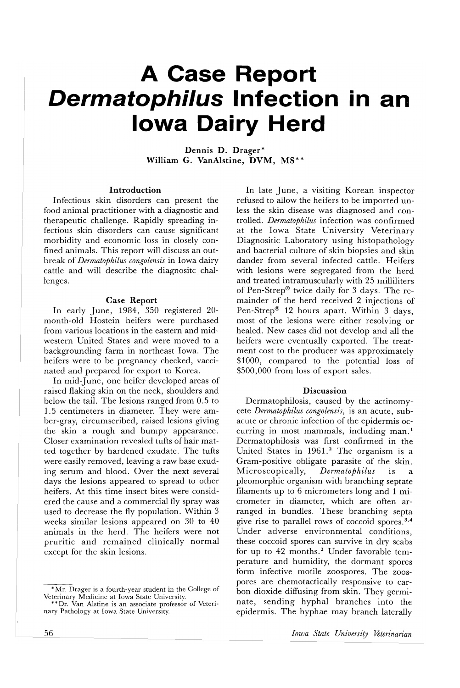# **A Case Report Dermatophilus Infection in an Iowa Dairy Herd**

Dennis D. Drager\* William G. VanAlstine, DVM, MS\*\*

## Introduction

Infectious skin disorders can present the food animal practitioner with a diagnostic and therapeutic challenge. Rapidly spreading infectious skin disorders can cause significant morbidity and economic loss in closely confined animals. This report will discuss an outbreak of *Dermatophilus congolensis* in Iowa dairy cattle and will describe the diagnositc challenges.

#### Case Report

In early June, 1984, 350 registered 20 month-old Hostein heifers were purchased from various locations in the eastern and midwestern United States and were moved to a backgrounding farm in northeast Iowa. The heifers were to be pregnancy checked, vaccinated and prepared for export to Korea.

In mid-June, one heifer developed areas of raised flaking skin on the neck, shoulders and below the tail. The lesions ranged from 0.5 to 1.5 centimeters in diameter. They were amber-gray, circumscribed, raised lesions giving the skin a rough and bumpy appearance. Closer examination revealed tufts of hair matted together by hardened exudate. The tufts were easily removed, leaving a raw base exuding serum and blood. Over the next several days the lesions appeared to spread to other heifers. At this time insect bites were considered the cause and a commercial fly spray was used to decrease the fly population. Within 3 weeks similar lesions appeared on 30 to 40 animals in the herd. The heifers were not pruritic and remained clinically normal except for the skin lesions.

In late June, a visiting Korean inspector refused to allow the heifers to be imported unless the skin disease was diagnosed and controlled. *Dermatophilus* infection was confirmed at the Iowa State University Veterinary Diagnositic Laboratory using histopathology and bacterial culture of skin biopsies and skin dander from several infected cattle. Heifers with lesions were segregated from the herd and treated intramuscularly with 25 milliliters of Pen-Strep® twice daily for 3 days. The remainder of the herd received 2 injections of Pen-Strep® 12 hours apart. Within 3 days, most of the lesions were either resolving or healed. New cases did not develop and all the heifers were eventually exported. The treatment cost to the producer was approximately \$1000, compared to the potential loss of \$500,000 from loss of export sales.

#### Discussion

Dermatophilosis, caused by the actinomycete *Dermatophilus congolensis)* is an acute, subacute or chronic infection of the epidermis occurring in most mammals, including man. <sup>1</sup> Dermatophilosis was first confirmed in the United States in 1961.<sup>2</sup> The organism is a Gram-positive obligate parasite of the skin.<br>Microscopically, Dermatophilus is a Microscopically, *Dermatophilus* is a pleomorphic organism with branching septate filaments up to 6 micrometers long and 1 micrometer in diameter, which are often arranged in bundles. These branching septa give rise to parallel rows of coccoid spores.<sup>3,4</sup> Under adverse environmental conditions, these coccoid spores can survive in dry scabs for up to 42 months.<sup>2</sup> Under favorable temperature and humidity, the dormant spores form infective motile zoospores. The zoospores are chemotactically responsive to carbon dioxide diffusing from skin. They germinate, sending hyphal branches into the epidermis. The hyphae may branch laterally

<sup>\*</sup>Mr. Drager is a fourth-year student in the College of Veterinary Medicine at Iowa State University.

<sup>\*\*</sup>Dr. Van Alstine is an associate professor of Veterinary Pathology at Iowa State University.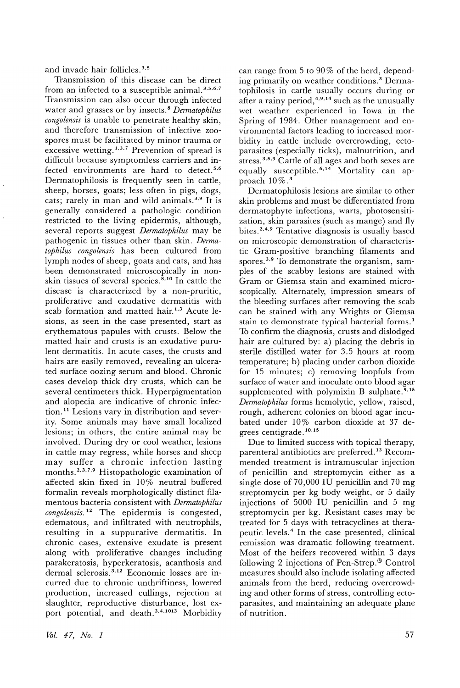and invade hair follicles. 3.5

Transmission of this disease can be direct from an infected to a susceptible animal. 3.5.6.7 Transmission can also occur through infected water and grasses or by insects. 8 *Dermatophilus congolensis* is unable to penetrate healthy skin, and therefore transmission of infective zoospores must be facilitated by minor trauma or excessive wetting.<sup>1,3,7</sup> Prevention of spread is difficult because symptomless carriers and infected environments are hard to detect.<sup>5,6</sup> Dermatophilosis is frequently seen in cattle, sheep, horses, goats; less often in pigs, dogs, cats; rarely in man and wild animals.<sup>3,9</sup> It is generally considered a pathologic condition restricted to the living epidermis, although, several reports suggest *Dermatophilus* may be pathogenic in tissues other than skin. *Dermatophilus congolensis* has been cultured from lymph nodes of sheep, goats and cats, and has been demonstrated microscopically in nonskin tissues of several species.<sup>8,10</sup> In cattle the disease is characterized by a non-pruritic, proliferative and exudative dermatitis with .<br>scab formation and matted hair.<sup>1,3</sup> Acute lesions, as seen in the case presented, start as erythematous papules with crusts. Below the matted hair and crusts is an exudative purulent dermatitis. In acute cases, the crusts and hairs are easily removed, revealing an ulcerated surface oozing serum and blood. Chronic cases develop thick dry crusts, which can be several centimeters thick. Hyperpigmentation and alopecia are indicative of chronic infection.<sup>11</sup> Lesions vary in distribution and severity. Some animals may have small localized lesions; in others, the entire animal may be involved. During dry or cool weather, lesions in cattle may regress, while horses and sheep may suffer a chronic infection lasting months. 2,3,7,9 Histopathologic examination of affected skin fixed in 10% neutral buffered formalin reveals morphologically distinct filamentous bacteria consistent with *Dermatophilus congolensis*. <sup>12</sup> The epidermis is congested, edematous, and infiltrated with neutrophils, resulting in a suppurative dermatitis. In chronic cases, extensive exudate is present along with proliferative changes including parakeratosis, hyperkeratosis, acanthosis and dermal sclerosis. 3. <sup>12</sup> Economic losses are incurred due to chronic unthriftiness, lowered production, increased cullings, rejection at slaughter, reproductive disturbance, lost export potential, and death.<sup>3,4,1013</sup> Morbidity

can range from 5 to 90 % of the herd, depending primarily on weather conditions. 3 Dermatophilosis in cattle usually occurs during or after a rainy period, $4.9.14$  such as the unusually wet weather experienced in Iowa in the Spring of 1984. Other management and environmental factors leading to increased morbidity in cattle include overcrowding, ectoparasites (especially ticks), malnutrition, and stress. 3,5,9 Cattle of all ages and both sexes are equally susceptible.<sup>6,14</sup> Mortality can approach  $10\%$ .<sup>3</sup>

Dermatophilosis lesions are similar to other skin problems and must be differentiated from dermatophyte infections, warts, photosensitization, skin parasites (such as mange) and fly bites. 2,4.9 Tentative diagnosis is usually based on microscopic demonstration of characteristic Gram-positive branching filaments and spores.<sup>3,9</sup> To demonstrate the organism, samples of the scabby lesions are stained with Gram or Giemsa stain and examined microscopically. Alternately, impression smears of the bleeding surfaces after removing the scab can be stained with any Wrights or Giemsa stain to demonstrate typical bacterial forms. 1 To confirm the diagnosis, crusts and dislodged hair are cultured by: a) placing the debris in sterile distilled water for 3.5 hours at room temperature; b) placing under carbon dioxide for 15 minutes; c) removing loopfuls from surface of water and inoculate onto blood agar supplemented with polymixin B sulphate.<sup>9,15</sup> *Dermatophilus* forms hemolytic, yellow, raised, rough, adherent colonies on blood agar incubated under 10% carbon dioxide at 37 degrees centigrade. 10,15

Due to limited success with topical therapy, parenteral antibiotics are preferred. <sup>13</sup> Recommended treatment is intramuscular injection of penicillin and streptomycin either as a single dose of 70,000 IV penicillin and 70 mg streptomycin per kg body weight, or 5 daily injections of 5000 IV penicillin and 5 mg streptomycin per kg. Resistant cases may be treated for 5 days with tetracyclines at therapeutic levels. 4 In the case presented, clinical remission was dramatic following treatment. Most of the heifers recovered within 3 days following 2 injections of Pen-Strep.® Control measures should also include isolating affected animals from the herd, reducing overcrowding and other forms of stress, controlling ectoparasites, and maintaining an adequate plane of nutrition.